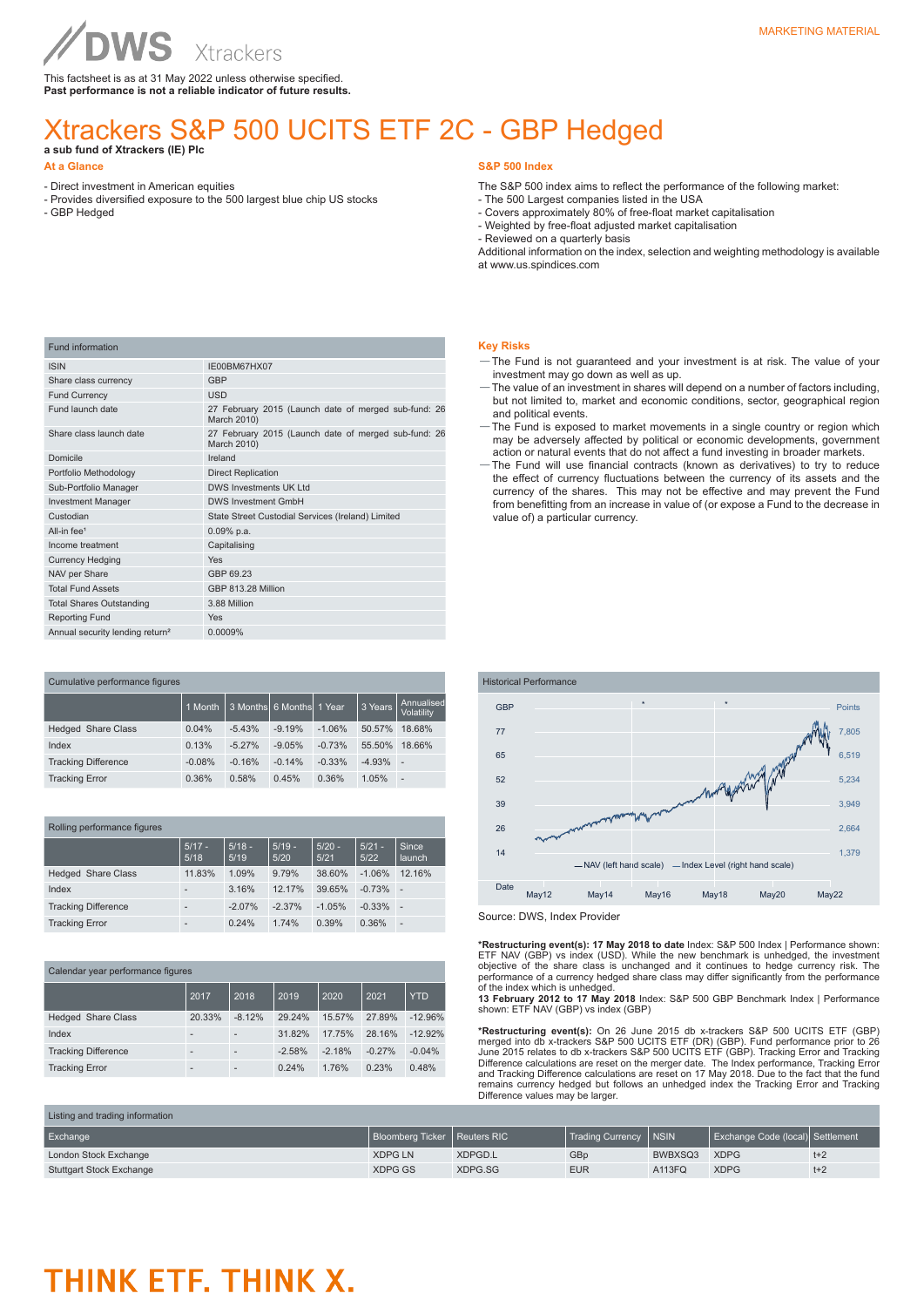# **NVS**

This factsheet is as at 31 May 2022 unless otherwise specified. **Past performance is not a reliable indicator of future results.**

# Xtrackers S&P 500 UCITS ETF 2C - GBP Hedged

# **a sub fund of Xtrackers (IE) Plc**

## **At a Glance**

- Direct investment in American equities
- Provides diversified exposure to the 500 largest blue chip US stocks
- GBP Hedged

# **S&P 500 Index**

- The S&P 500 index aims to reflect the performance of the following market:
- The 500 Largest companies listed in the USA
- Covers approximately 80% of free-float market capitalisation - Weighted by free-float adjusted market capitalisation
- Reviewed on a quarterly basis

Additional information on the index, selection and weighting methodology is available at www.us.spindices.com

| <b>Fund information</b>                     |                                                                     |
|---------------------------------------------|---------------------------------------------------------------------|
| <b>ISIN</b>                                 | IE00BM67HX07                                                        |
| Share class currency                        | <b>GBP</b>                                                          |
| <b>Fund Currency</b>                        | <b>USD</b>                                                          |
| Fund launch date                            | 27 February 2015 (Launch date of merged sub-fund: 26<br>March 2010) |
| Share class launch date                     | 27 February 2015 (Launch date of merged sub-fund: 26<br>March 2010) |
| Domicile                                    | Ireland                                                             |
| Portfolio Methodology                       | <b>Direct Replication</b>                                           |
| Sub-Portfolio Manager                       | <b>DWS Investments UK Ltd</b>                                       |
| <b>Investment Manager</b>                   | <b>DWS Investment GmbH</b>                                          |
| Custodian                                   | State Street Custodial Services (Ireland) Limited                   |
| All-in fee <sup>1</sup>                     | $0.09%$ p.a.                                                        |
| Income treatment                            | Capitalising                                                        |
| <b>Currency Hedging</b>                     | Yes                                                                 |
| NAV per Share                               | GBP 69.23                                                           |
| <b>Total Fund Assets</b>                    | GBP 813.28 Million                                                  |
| <b>Total Shares Outstanding</b>             | 3.88 Million                                                        |
| <b>Reporting Fund</b>                       | <b>Yes</b>                                                          |
| Annual security lending return <sup>2</sup> | 0.0009%                                                             |

| Cumulative performance figures |          |          |                          |          |          |                          |  |
|--------------------------------|----------|----------|--------------------------|----------|----------|--------------------------|--|
|                                | 1 Month  |          | 3 Months 6 Months 1 Year |          | 3 Years  | Annualised<br>Volatility |  |
| <b>Hedged Share Class</b>      | 0.04%    | $-5.43%$ | $-9.19%$                 | $-1.06%$ | 50.57%   | 18.68%                   |  |
| Index                          | 0.13%    | $-5.27%$ | $-9.05%$                 | $-0.73%$ | 55.50%   | 18.66%                   |  |
| <b>Tracking Difference</b>     | $-0.08%$ | $-0.16%$ | $-0.14%$                 | $-0.33%$ | $-4.93%$ | $\overline{\phantom{a}}$ |  |
| <b>Tracking Error</b>          | 0.36%    | 0.58%    | 0.45%                    | 0.36%    | 1.05%    | $\overline{\phantom{a}}$ |  |

| Rolling performance figures |                          |                  |                  |                  |                  |                 |  |
|-----------------------------|--------------------------|------------------|------------------|------------------|------------------|-----------------|--|
|                             | $5/17 -$<br>5/18         | $5/18 -$<br>5/19 | $5/19 -$<br>5/20 | $5/20 -$<br>5/21 | $5/21 -$<br>5/22 | Since<br>launch |  |
| <b>Hedged Share Class</b>   | 11.83%                   | 1.09%            | 9.79%            | 38.60%           | $-1.06%$         | 12.16%          |  |
| Index                       | $\overline{\phantom{a}}$ | 3.16%            | 12.17%           | 39.65%           | $-0.73%$         | ٠               |  |
| <b>Tracking Difference</b>  | $\overline{\phantom{a}}$ | $-2.07%$         | $-2.37%$         | $-1.05%$         | $-0.33%$         | ٠               |  |
| <b>Tracking Error</b>       | $\overline{\phantom{a}}$ | 0.24%            | 1.74%            | 0.39%            | 0.36%            | -               |  |

| Calendar year performance figures |        |          |          |          |          |            |  |
|-----------------------------------|--------|----------|----------|----------|----------|------------|--|
|                                   | 2017   | 2018     | 2019     | 2020     | 2021     | <b>YTD</b> |  |
| <b>Hedged Share Class</b>         | 20.33% | $-8.12%$ | 29.24%   | 15.57%   | 27.89%   | $-12.96%$  |  |
| Index                             |        |          | 31.82%   | 17.75%   | 28.16%   | $-12.92%$  |  |
| <b>Tracking Difference</b>        |        |          | $-2.58%$ | $-2.18%$ | $-0.27%$ | $-0.04%$   |  |
| <b>Tracking Error</b>             |        |          | 0.24%    | 1.76%    | 0.23%    | 0.48%      |  |

### **Key Risks**

- —The Fund is not guaranteed and your investment is at risk. The value of your investment may go down as well as up.
- —The value of an investment in shares will depend on a number of factors including, but not limited to, market and economic conditions, sector, geographical region and political events.
- —The Fund is exposed to market movements in a single country or region which may be adversely affected by political or economic developments, government action or natural events that do not affect a fund investing in broader markets.
- —The Fund will use financial contracts (known as derivatives) to try to reduce the effect of currency fluctuations between the currency of its assets and the currency of the shares. This may not be effective and may prevent the Fund from benefitting from an increase in value of (or expose a Fund to the decrease in value of) a particular currency.



Source: DWS, Index Provider

\*Restructuring event(s): 17 May 2018 to date Index: S&P 500 Index | Performance shown:<br>ETF NAV (GBP) vs index (USD). While the new benchmark is unhedged, the investment<br>objective of the share class is unchanged and it cont

of the index which is unhedged.<br>**13 February 2012 to 17 May 2018** Index: S&P 500 GBP Benchmark Index | Performance<br>shown: ETF NAV (GBP) vs index (GBP)

**\*Restructuring event(s):** On 26 June 2015 db x-trackers S&P 500 UCITS ETF (GBP) merged into db x-trackers S&P 500 UCITS ETF (DR) (GBP). Fund performance prior to 26 June 2015 relates to db x-trackers S&P 500 UCITS ETF (OR Difference values may be larger.

| Listing and trading information |                                |         |                         |         |                                  |       |  |
|---------------------------------|--------------------------------|---------|-------------------------|---------|----------------------------------|-------|--|
| Exchange                        | Bloomberg Ticker   Reuters RIC |         | Trading Currency   NSIN |         | Exchange Code (local) Settlement |       |  |
| London Stock Exchange           | <b>XDPG LN</b>                 | XDPGD.L | GB <sub>p</sub>         | BWBXSQ3 | <b>XDPG</b>                      | $t+2$ |  |
| <b>Stuttgart Stock Exchange</b> | XDPG GS                        | XDPG.SG | <b>EUR</b>              | A113FQ  | <b>XDPG</b>                      | $t+2$ |  |

# THINK ETF. THINK X.